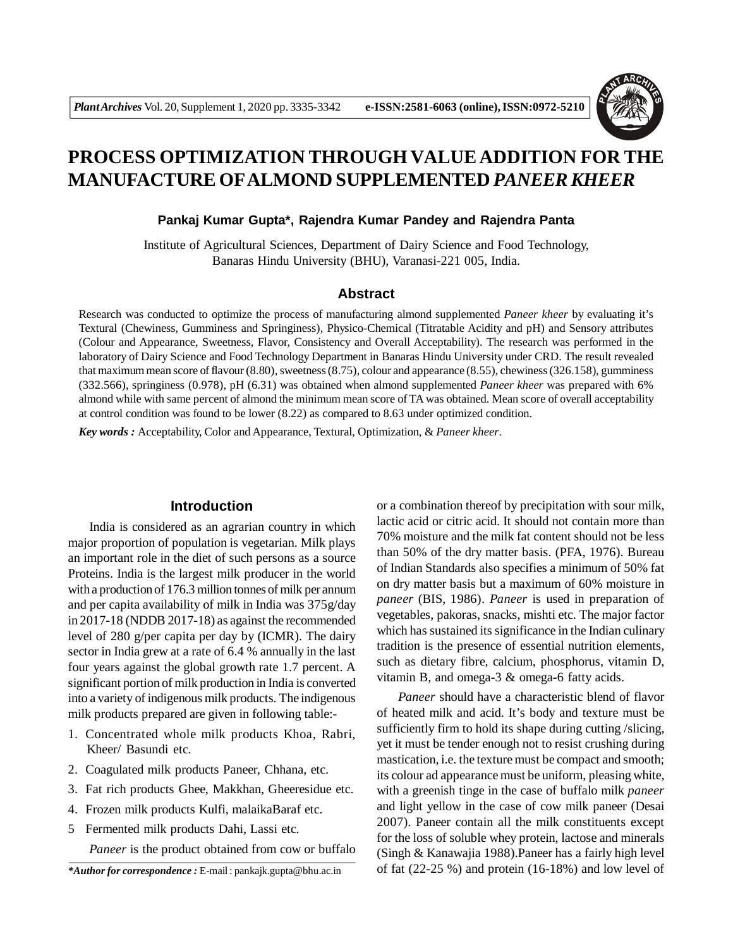

# **PROCESS OPTIMIZATION THROUGH VALUE ADDITION FOR THE MANUFACTURE OFALMOND SUPPLEMENTED** *PANEER KHEER*

### **Pankaj Kumar Gupta\*, Rajendra Kumar Pandey and Rajendra Panta**

Institute of Agricultural Sciences, Department of Dairy Science and Food Technology, Banaras Hindu University (BHU), Varanasi-221 005, India.

### **Abstract**

Research was conducted to optimize the process of manufacturing almond supplemented *Paneer kheer* by evaluating it's Textural (Chewiness, Gumminess and Springiness), Physico-Chemical (Titratable Acidity and pH) and Sensory attributes (Colour and Appearance, Sweetness, Flavor, Consistency and Overall Acceptability). The research was performed in the laboratory of Dairy Science and Food Technology Department in Banaras Hindu University under CRD. The result revealed that maximum mean score of flavour (8.80), sweetness (8.75), colour and appearance (8.55), chewiness (326.158), gumminess (332.566), springiness (0.978), pH (6.31) was obtained when almond supplemented *Paneer kheer* was prepared with 6% almond while with same percent of almond the minimum mean score of TA was obtained. Mean score of overall acceptability at control condition was found to be lower (8.22) as compared to 8.63 under optimized condition.

*Key words :* Acceptability, Color and Appearance, Textural, Optimization, & *Paneer kheer*.

### **Introduction**

India is considered as an agrarian country in which major proportion of population is vegetarian. Milk plays an important role in the diet of such persons as a source Proteins. India is the largest milk producer in the world with a production of 176.3 million tonnes of milk per annum and per capita availability of milk in India was 375g/day in 2017-18 (NDDB 2017-18) as against the recommended level of 280 g/per capita per day by (ICMR). The dairy sector in India grew at a rate of 6.4 % annually in the last four years against the global growth rate 1.7 percent. A significant portion of milk production in India is converted into a variety of indigenous milk products. The indigenous milk products prepared are given in following table:-

- 1. Concentrated whole milk products Khoa, Rabri, Kheer/ Basundi etc.
- 2. Coagulated milk products Paneer, Chhana, etc.
- 3. Fat rich products Ghee, Makkhan, Gheeresidue etc.
- 4. Frozen milk products Kulfi, malaikaBaraf etc.
- 5 Fermented milk products Dahi, Lassi etc.

*Paneer* is the product obtained from cow or buffalo

or a combination thereof by precipitation with sour milk, lactic acid or citric acid. It should not contain more than 70% moisture and the milk fat content should not be less than 50% of the dry matter basis. (PFA, 1976). Bureau of Indian Standards also specifies a minimum of 50% fat on dry matter basis but a maximum of 60% moisture in *paneer* (BIS, 1986). *Paneer* is used in preparation of vegetables, pakoras, snacks, mishti etc. The major factor which has sustained its significance in the Indian culinary tradition is the presence of essential nutrition elements, such as dietary fibre, calcium, phosphorus, vitamin D, vitamin B, and omega-3 & omega-6 fatty acids.

*Paneer* should have a characteristic blend of flavor of heated milk and acid. It's body and texture must be sufficiently firm to hold its shape during cutting /slicing, yet it must be tender enough not to resist crushing during mastication, i.e. the texture must be compact and smooth; its colour ad appearance must be uniform, pleasing white, with a greenish tinge in the case of buffalo milk *paneer* and light yellow in the case of cow milk paneer (Desai 2007). Paneer contain all the milk constituents except for the loss of soluble whey protein, lactose and minerals (Singh & Kanawajia 1988).Paneer has a fairly high level of fat (22-25 %) and protein (16-18%) and low level of

*<sup>\*</sup>Author for correspondence :* E-mail : pankajk.gupta@bhu.ac.in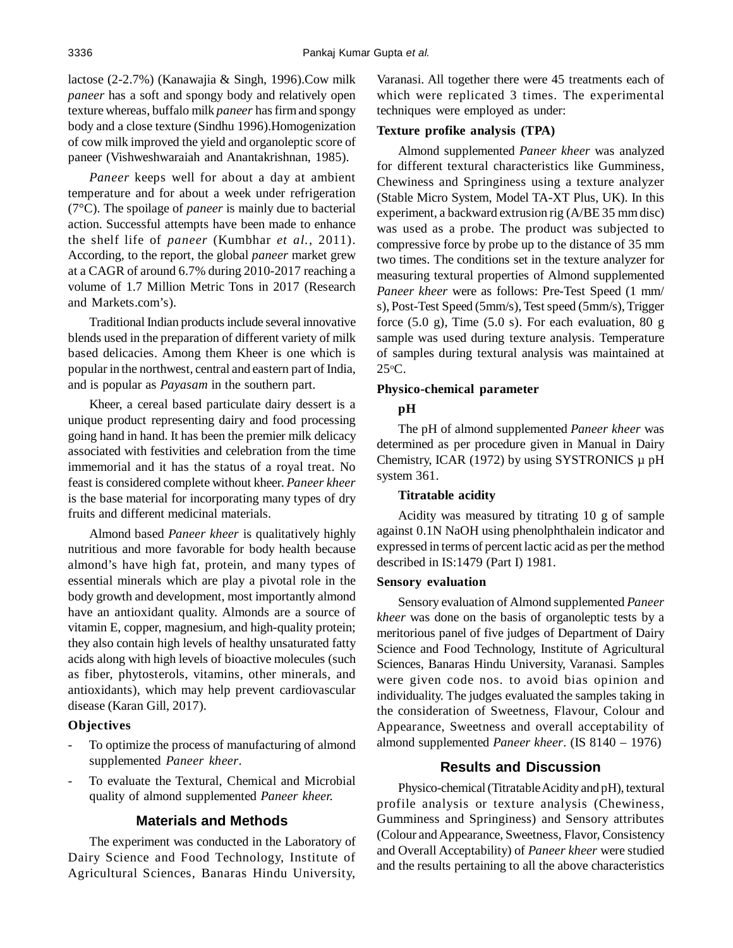lactose (2-2.7%) (Kanawajia & Singh, 1996).Cow milk *paneer* has a soft and spongy body and relatively open texture whereas, buffalo milk *paneer* has firm and spongy body and a close texture (Sindhu 1996).Homogenization of cow milk improved the yield and organoleptic score of paneer (Vishweshwaraiah and Anantakrishnan, 1985).

*Paneer* keeps well for about a day at ambient temperature and for about a week under refrigeration (7°C). The spoilage of *paneer* is mainly due to bacterial action. Successful attempts have been made to enhance the shelf life of *paneer* (Kumbhar *et al.*, 2011). According, to the report, the global *paneer* market grew at a CAGR of around 6.7% during 2010-2017 reaching a volume of 1.7 Million Metric Tons in 2017 (Research and Markets.com's).

Traditional Indian products include several innovative blends used in the preparation of different variety of milk based delicacies. Among them Kheer is one which is popular in the northwest, central and eastern part of India, and is popular as *Payasam* in the southern part.

Kheer, a cereal based particulate dairy dessert is a unique product representing dairy and food processing going hand in hand. It has been the premier milk delicacy associated with festivities and celebration from the time immemorial and it has the status of a royal treat. No feast is considered complete without kheer. *Paneer kheer* is the base material for incorporating many types of dry fruits and different medicinal materials.

Almond based *Paneer kheer* is qualitatively highly nutritious and more favorable for body health because almond's have high fat, protein, and many types of essential minerals which are play a pivotal role in the body growth and development, most importantly almond have an antioxidant quality. Almonds are a source of vitamin E, copper, magnesium, and high-quality protein; they also contain high levels of healthy unsaturated fatty acids along with high levels of bioactive molecules (such as fiber, phytosterols, vitamins, other minerals, and antioxidants), which may help prevent cardiovascular disease (Karan Gill, 2017).

#### **Objectives**

- To optimize the process of manufacturing of almond supplemented *Paneer kheer*.
- To evaluate the Textural, Chemical and Microbial quality of almond supplemented *Paneer kheer.*

#### **Materials and Methods**

The experiment was conducted in the Laboratory of Dairy Science and Food Technology, Institute of Agricultural Sciences, Banaras Hindu University,

Varanasi. All together there were 45 treatments each of which were replicated 3 times. The experimental techniques were employed as under:

### **Texture profike analysis (TPA)**

Almond supplemented *Paneer kheer* was analyzed for different textural characteristics like Gumminess, Chewiness and Springiness using a texture analyzer (Stable Micro System, Model TA-XT Plus, UK). In this experiment, a backward extrusion rig (A/BE 35 mm disc) was used as a probe. The product was subjected to compressive force by probe up to the distance of 35 mm two times. The conditions set in the texture analyzer for measuring textural properties of Almond supplemented *Paneer kheer* were as follows: Pre-Test Speed (1 mm/ s), Post-Test Speed (5mm/s), Test speed (5mm/s), Trigger force  $(5.0 \text{ g})$ , Time  $(5.0 \text{ s})$ . For each evaluation, 80 g sample was used during texture analysis. Temperature of samples during textural analysis was maintained at  $25^{\circ}$ C.

### **Physico-chemical parameter**

#### **pH**

The pH of almond supplemented *Paneer kheer* was determined as per procedure given in Manual in Dairy Chemistry, ICAR (1972) by using SYSTRONICS  $\mu$  pH system 361.

#### **Titratable acidity**

Acidity was measured by titrating 10 g of sample against 0.1N NaOH using phenolphthalein indicator and expressed in terms of percent lactic acid as per the method described in IS:1479 (Part I) 1981.

#### **Sensory evaluation**

Sensory evaluation of Almond supplemented *Paneer kheer* was done on the basis of organoleptic tests by a meritorious panel of five judges of Department of Dairy Science and Food Technology, Institute of Agricultural Sciences, Banaras Hindu University, Varanasi. Samples were given code nos. to avoid bias opinion and individuality. The judges evaluated the samples taking in the consideration of Sweetness, Flavour, Colour and Appearance, Sweetness and overall acceptability of almond supplemented *Paneer kheer*. (IS 8140 – 1976)

# **Results and Discussion**

Physico-chemical (Titratable Acidity and pH), textural profile analysis or texture analysis (Chewiness, Gumminess and Springiness) and Sensory attributes (Colour and Appearance, Sweetness, Flavor, Consistency and Overall Acceptability) of *Paneer kheer* were studied and the results pertaining to all the above characteristics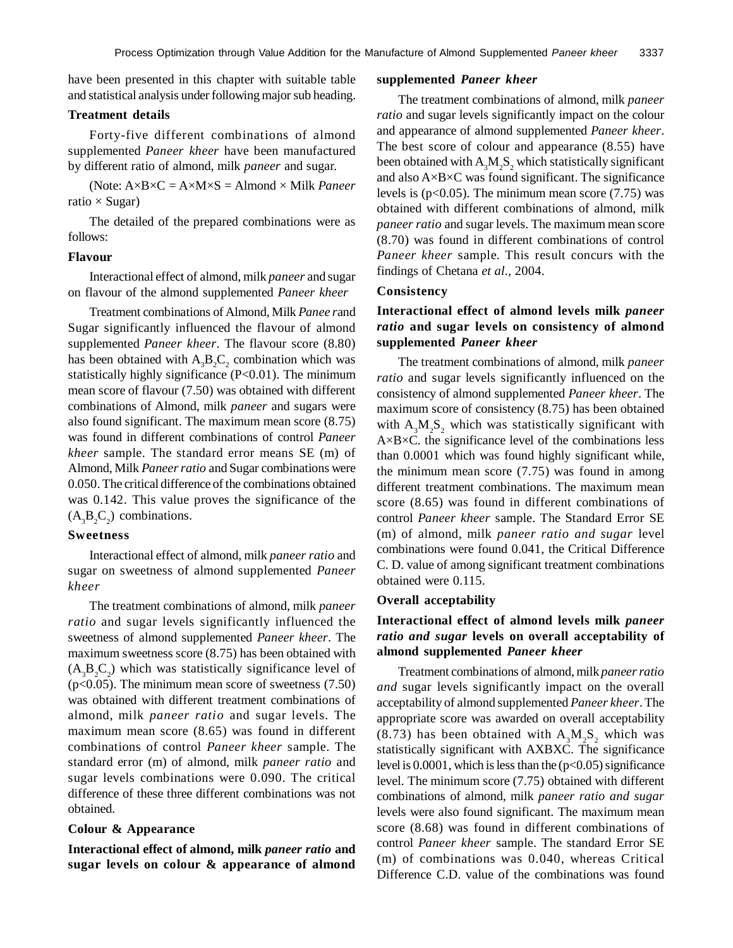have been presented in this chapter with suitable table and statistical analysis under following major sub heading.

### **Treatment details**

Forty-five different combinations of almond supplemented *Paneer kheer* have been manufactured by different ratio of almond, milk *paneer* and sugar.

(Note: A×B×C = A×M×S = Almond × Milk *Paneer* ratio  $\times$  Sugar)

The detailed of the prepared combinations were as follows:

### **Flavour**

Interactional effect of almond, milk *paneer* and sugar on flavour of the almond supplemented *Paneer kheer*

Treatment combinations of Almond, Milk *Panee r*and Sugar significantly influenced the flavour of almond supplemented *Paneer kheer*. The flavour score (8.80) has been obtained with  $A_3B_2C_2$  combination which was statistically highly significance (P<0.01). The minimum mean score of flavour (7.50) was obtained with different combinations of Almond, milk *paneer* and sugars were also found significant. The maximum mean score (8.75) was found in different combinations of control *Paneer kheer* sample. The standard error means SE (m) of Almond, Milk *Paneer ratio* and Sugar combinations were 0.050. The critical difference of the combinations obtained was 0.142. This value proves the significance of the  $(A_3B_2C_2)$  combinations.

### **Sweetness**

Interactional effect of almond, milk *paneer ratio* and sugar on sweetness of almond supplemented *Paneer kheer*

The treatment combinations of almond, milk *paneer ratio* and sugar levels significantly influenced the sweetness of almond supplemented *Paneer kheer*. The maximum sweetness score (8.75) has been obtained with  $(A_3B_2C_2)$  which was statistically significance level of  $(p<0.05)$ . The minimum mean score of sweetness (7.50) was obtained with different treatment combinations of almond, milk *paneer ratio* and sugar levels. The maximum mean score (8.65) was found in different combinations of control *Paneer kheer* sample. The standard error (m) of almond, milk *paneer ratio* and sugar levels combinations were 0.090. The critical difference of these three different combinations was not obtained.

### **Colour & Appearance**

**Interactional effect of almond, milk** *paneer ratio* **and sugar levels on colour & appearance of almond**

#### **supplemented** *Paneer kheer*

The treatment combinations of almond, milk *paneer ratio* and sugar levels significantly impact on the colour and appearance of almond supplemented *Paneer kheer*. The best score of colour and appearance (8.55) have been obtained with  $A_3M_2S_2$  which statistically significant and also A×B×C was found significant. The significance levels is  $(p<0.05)$ . The minimum mean score (7.75) was obtained with different combinations of almond, milk *paneer ratio* and sugar levels. The maximum mean score (8.70) was found in different combinations of control *Paneer kheer* sample. This result concurs with the findings of Chetana *et al.,* 2004.

### **Consistency**

# **Interactional effect of almond levels milk** *paneer ratio* **and sugar levels on consistency of almond supplemented** *Paneer kheer*

The treatment combinations of almond, milk *paneer ratio* and sugar levels significantly influenced on the consistency of almond supplemented *Paneer kheer*. The maximum score of consistency (8.75) has been obtained with  $A_3M_2S_2$  which was statistically significant with A×B×C. the significance level of the combinations less than 0.0001 which was found highly significant while, the minimum mean score (7.75) was found in among different treatment combinations. The maximum mean score (8.65) was found in different combinations of control *Paneer kheer* sample. The Standard Error SE (m) of almond, milk *paneer ratio and sugar* level combinations were found 0.041, the Critical Difference C. D. value of among significant treatment combinations obtained were 0.115.

#### **Overall acceptability**

# **Interactional effect of almond levels milk** *paneer ratio and sugar* **levels on overall acceptability of almond supplemented** *Paneer kheer*

Treatment combinations of almond, milk *paneer ratio and* sugar levels significantly impact on the overall acceptability of almond supplemented *Paneer kheer*. The appropriate score was awarded on overall acceptability (8.73) has been obtained with  $A_3M_2S_2$  which was statistically significant with AXBXC. The significance level is  $0.0001$ , which is less than the  $(p<0.05)$  significance level. The minimum score (7.75) obtained with different combinations of almond, milk *paneer ratio and sugar* levels were also found significant. The maximum mean score (8.68) was found in different combinations of control *Paneer kheer* sample. The standard Error SE (m) of combinations was 0.040, whereas Critical Difference C.D. value of the combinations was found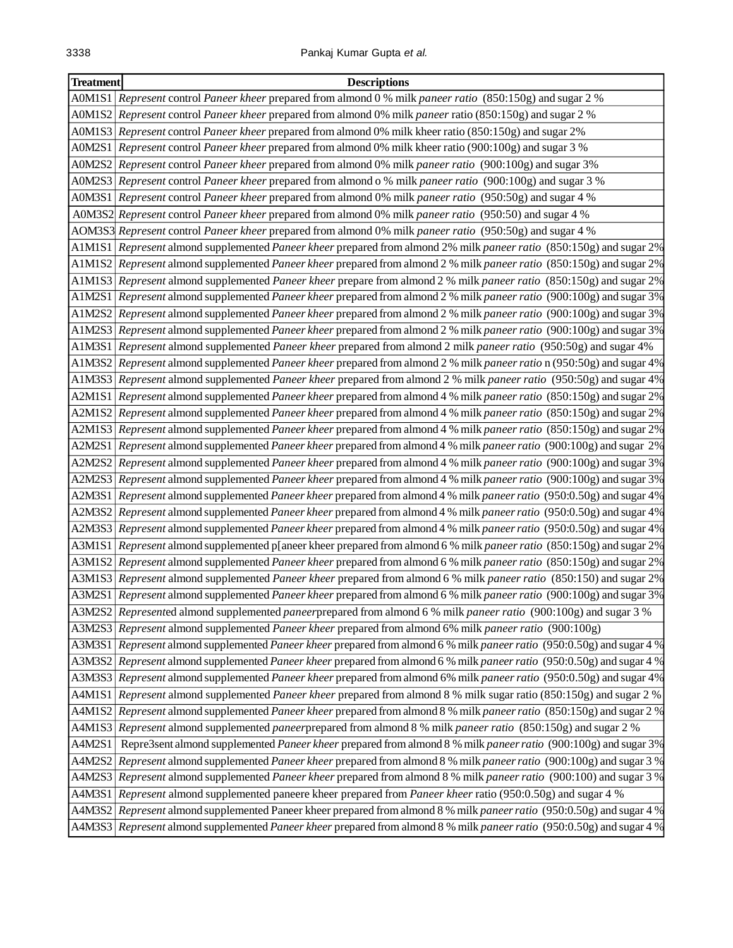| <b>Treatment</b> | <b>Descriptions</b>                                                                                                      |
|------------------|--------------------------------------------------------------------------------------------------------------------------|
|                  | A0M1S1 Represent control Paneer kheer prepared from almond 0 % milk paneer ratio (850:150g) and sugar 2 %                |
|                  | A0M1S2 Represent control Paneer kheer prepared from almond 0% milk paneer ratio (850:150g) and sugar 2 %                 |
|                  | A0M1S3 Represent control Paneer kheer prepared from almond 0% milk kheer ratio (850:150g) and sugar 2%                   |
|                  | A0M2S1 Represent control Paneer kheer prepared from almond 0% milk kheer ratio (900:100g) and sugar 3 %                  |
|                  | A0M2S2 Represent control Paneer kheer prepared from almond 0% milk paneer ratio (900:100g) and sugar 3%                  |
|                  | A0M2S3 Represent control Paneer kheer prepared from almond o % milk paneer ratio (900:100g) and sugar 3 %                |
|                  | A0M3S1 Represent control Paneer kheer prepared from almond 0% milk paneer ratio (950:50g) and sugar 4 %                  |
|                  | A0M3S2 Represent control Paneer kheer prepared from almond 0% milk paneer ratio (950:50) and sugar 4 %                   |
|                  | AOM3S3 Represent control Paneer kheer prepared from almond 0% milk paneer ratio (950:50g) and sugar 4 %                  |
|                  | A1M1S1 Represent almond supplemented Paneer kheer prepared from almond 2% milk paneer ratio (850:150g) and sugar 2%      |
|                  | A1M1S2 Represent almond supplemented Paneer kheer prepared from almond 2 % milk paneer ratio (850:150g) and sugar 2%     |
|                  | A1M1S3 Represent almond supplemented Paneer kheer prepare from almond 2 % milk paneer ratio (850:150g) and sugar 2%      |
|                  | A1M2S1 Represent almond supplemented Paneer kheer prepared from almond 2 % milk paneer ratio (900:100g) and sugar 3%     |
|                  | A1M2S2 Represent almond supplemented Paneer kheer prepared from almond 2 % milk paneer ratio (900:100g) and sugar 3%     |
|                  | A1M2S3 Represent almond supplemented Paneer kheer prepared from almond 2 % milk paneer ratio (900:100g) and sugar 3%     |
|                  | A1M3S1 Represent almond supplemented Paneer kheer prepared from almond 2 milk paneer ratio (950:50g) and sugar 4%        |
|                  | A1M3S2 Represent almond supplemented Paneer kheer prepared from almond 2 % milk paneer ratio n (950:50g) and sugar 4%    |
|                  | A1M3S3 Represent almond supplemented Paneer kheer prepared from almond 2 % milk paneer ratio (950:50g) and sugar 4%      |
|                  | A2M1S1 Represent almond supplemented Paneer kheer prepared from almond 4 % milk paneer ratio (850:150g) and sugar 2%     |
|                  | A2M1S2 Represent almond supplemented Paneer kheer prepared from almond 4 % milk paneer ratio (850:150g) and sugar 2%     |
|                  | A2M1S3 Represent almond supplemented Paneer kheer prepared from almond 4 % milk paneer ratio (850:150g) and sugar 2%     |
|                  | A2M2S1 Represent almond supplemented Paneer kheer prepared from almond 4 % milk paneer ratio (900:100g) and sugar 2%     |
|                  | A2M2S2 Represent almond supplemented Paneer kheer prepared from almond 4 % milk paneer ratio (900:100g) and sugar 3%     |
|                  | A2M2S3 Represent almond supplemented Paneer kheer prepared from almond 4 % milk paneer ratio (900:100g) and sugar 3%     |
|                  | A2M3S1 Represent almond supplemented Paneer kheer prepared from almond 4 % milk paneer ratio (950:0.50g) and sugar 4%    |
|                  | A2M3S2 Represent almond supplemented Paneer kheer prepared from almond 4 % milk paneer ratio (950:0.50g) and sugar 4%    |
|                  | A2M3S3 Represent almond supplemented Paneer kheer prepared from almond 4 % milk paneer ratio (950:0.50g) and sugar 4%    |
|                  | A3M1S1 Represent almond supplemented p[aneer kheer prepared from almond 6 % milk paneer ratio (850:150g) and sugar 2%    |
|                  | A3M1S2 Represent almond supplemented Paneer kheer prepared from almond 6 % milk paneer ratio (850:150g) and sugar 2%     |
|                  | A3M1S3 Represent almond supplemented Paneer kheer prepared from almond 6 % milk paneer ratio (850:150) and sugar 2%      |
|                  | A3M2S1 Represent almond supplemented Paneer kheer prepared from almond 6 % milk paneer ratio (900:100g) and sugar 3%     |
|                  | A3M2S2 Represented almond supplemented paneerprepared from almond 6 % milk paneer ratio (900:100g) and sugar 3 %         |
|                  | A3M2S3 Represent almond supplemented Paneer kheer prepared from almond 6% milk paneer ratio (900:100g)                   |
|                  | A3M3S1 Represent almond supplemented Paneer kheer prepared from almond 6 % milk paneer ratio (950:0.50g) and sugar 4 %   |
|                  | A3M3S2 Represent almond supplemented Paneer kheer prepared from almond 6 % milk paneer ratio (950:0.50g) and sugar 4 %   |
|                  | A3M3S3 Represent almond supplemented Paneer kheer prepared from almond 6% milk paneer ratio (950:0.50g) and sugar 4%     |
|                  | A4M1S1   Represent almond supplemented Paneer kheer prepared from almond 8 % milk sugar ratio (850:150g) and sugar 2 %   |
|                  | A4M1S2 Represent almond supplemented Paneer kheer prepared from almond 8 % milk paneer ratio (850:150g) and sugar 2 %    |
|                  | A4M1S3 Represent almond supplemented paneerprepared from almond 8 % milk paneer ratio (850:150g) and sugar 2 %           |
| A4M2S1           | Repre3sent almond supplemented Paneer kheer prepared from almond 8 % milk paneer ratio (900:100g) and sugar 3%           |
|                  | A4M2S2 Represent almond supplemented Paneer kheer prepared from almond 8 % milk paneer ratio (900:100g) and sugar 3 %    |
|                  | A4M2S3 Represent almond supplemented Paneer kheer prepared from almond 8 % milk paneer ratio (900:100) and sugar 3 %     |
|                  | A4M3S1 Represent almond supplemented paneere kheer prepared from Paneer kheer ratio (950:0.50g) and sugar 4 %            |
|                  | A4M3S2 Represent almond supplemented Paneer kheer prepared from almond 8 % milk paneer ratio (950:0.50g) and sugar 4 %   |
|                  | A4M3S3   Represent almond supplemented Paneer kheer prepared from almond 8 % milk paneer ratio (950:0.50g) and sugar 4 % |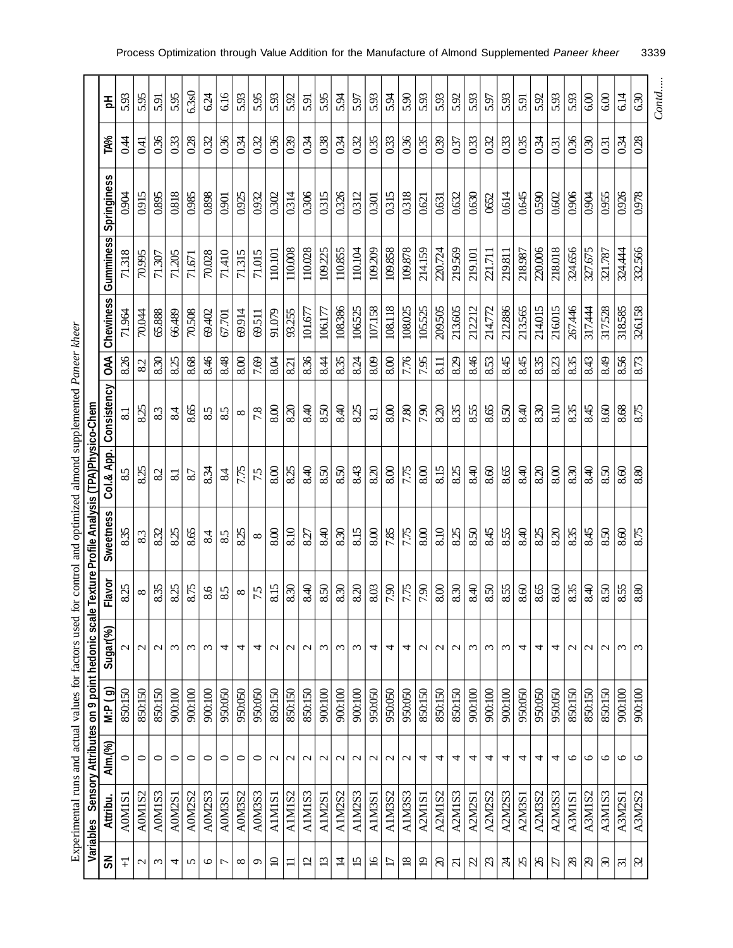|                   |                    |                   |                     | Variables Sensory Attributes on 9 point hedonic scale |          | Fexture Profile Analysis (TPA)Physico-Chem |                 |                         |      |               |           |             |      |       |
|-------------------|--------------------|-------------------|---------------------|-------------------------------------------------------|----------|--------------------------------------------|-----------------|-------------------------|------|---------------|-----------|-------------|------|-------|
| ŠΣ                | Attribu.           | Alm.(%)           | ලි<br>$\frac{1}{2}$ | Sugar(%)                                              | Flavor   | <b>Sweetness</b>                           | Col.& App.      | Consistency             | E    | Chewiness     | Gumminess | Springiness | TA%  | 意     |
| Ŧ                 | <b>A0M1S</b>       | $\circ$           | 850:150             | $\mathcal{L}$                                         | 8.25     | 8.35                                       | $85$            | $\overline{81}$         | 8.26 | 71.964        | 71318     | 0.904       | 0.44 | 5.93  |
| $\mathbf{\Omega}$ | A0M1S2             | $\circ$           | 850:150             | $\mathbf{C}$                                          | $\infty$ | 83                                         | 8.25            | 8.25                    | 82   | <b>70.044</b> | 70.995    | 0.915       | 0.41 | 5.95  |
| $\epsilon$        | A0M1S3             | $\circ$           | 850:150             | $\mathbf{\Omega}$                                     | 8.35     | 8.32                                       | 82              | 83                      | 8.30 | 65.888        | 71.307    | 0.895       | 0.36 | 5.91  |
| 4                 | A0M2S              | $\circ$           | 900:100             | $\omega$                                              | 8.25     | 8.25                                       | $\overline{81}$ | 84                      | 8.25 | 66.489        | 71.205    | 0.818       | 0.33 | 5.95  |
| n                 | A0M2S2             | 0                 | 900:100             | $\epsilon$                                            | 8.75     | 8.65                                       | 87              | 8.65                    | 8.68 | 70.508        | 71.671    | 0.985       | 0.28 | 6.3s0 |
| $\circ$           | A0M2S3             | 0                 | 900:100             | $\omega$                                              | 8.6      | 84                                         | 8.34            | 85                      | 8.46 | 69.402        | 70.028    | 0.898       | 0.32 | 624   |
| <u>L</u>          | <b>A0M3S</b>       | 0                 | 950:050             | 4                                                     | 85       | 85                                         | 84              | 85                      | 8.48 | 67.701        | 71,410    | 0.901       | 0.36 | 6.16  |
| $\infty$          | A0M3S2             | $\circ$           | 950:050             | 4                                                     | $\infty$ | 8.25                                       | 7.75            | $\infty$                | 8.00 | 69914         | 71.315    | 0.925       | 0.34 | 5.93  |
| $\circ$           | A0M3S3             | 0                 | 950:050             | 4                                                     | 75       | $\infty$                                   | 75              | 7.8                     | 7.69 | 69.511        | 71.015    | 0.932       | 0.32 | 5.95  |
| $\mathbf{Q}$      | <b>A1M1S</b>       | $\mathbf{\Omega}$ | 850:150             | $\mathbf{\Omega}$                                     | 8.15     | 8.00                                       | 8.00            | 8.00                    | 8.04 | 91.079        | 110.101   | 0302        | 0.36 | 5.93  |
| ᆖ                 | A1M1S <sub>2</sub> | $\mathcal{L}$     | 850:150             | N                                                     | 8.30     | 8.10                                       | 8.25            | 8.20                    | 8.21 | 93.255        | 110.008   | 0314        | 0.39 | 5.92  |
| $\overline{5}$    | A1M1S3             | $\mathbf{\sim}$   | 850:150             | $\mathcal{C}$                                         | 8.40     | 8.27                                       | 8.40            | 8.40                    | 8.36 | 101.677       | 110.028   | 0306        | 0.34 | 5.91  |
| $\Xi$             | A1M2S              | $\sim$            | 900:100             | $\omega$                                              | 8.50     | 8.40                                       | 8.50            | 8.50                    | 8.44 | 106.177       | 109.225   | 0315        | 0.38 | 5.95  |
| 彑                 | A1M2S2             | $\mathbf{\sim}$   | 900:100             | $\epsilon$                                            | 8.30     | 8.30                                       | 8.50            | 8.40                    | 8.35 | 108.386       | 110.855   | 0326        | 0.34 | 5.94  |
| 5                 | A1M2S3             | $\mathcal{L}$     | 900:100             | $\epsilon$                                            | 8.20     | 8.15                                       | 8.43            | 8.25                    | 8.24 | 106525        | 110.104   | 0312        | 0.32 | 5.97  |
| $\overline{9}$    | A1M3S              | $\mathbf{\Omega}$ | 950:050             | 4                                                     | 8.03     | 8.00                                       | 8.20            | $\overline{\mathbf{8}}$ | 8.09 | 107.158       | 109.209   | 0301        | 0.35 | 5.93  |
| E                 | A1M3S2             | $\mathbf{\Omega}$ | 950:050             | 4                                                     | 7.90     | 7.85                                       | $8.00$          | 8.00                    | 8.00 | 108.118       | 109.858   | 0315        | 0.33 | 5.94  |
| $\overline{8}$    | A1M3S3             | $\mathbf{\Omega}$ | 950:050             | 4                                                     | 7.75     | 7.75                                       | 7.75            | 7.80                    | 7.76 | 108.025       | 109.878   | 0318        | 0.36 | 5.90  |
| $\overline{5}$    | <b>A2M1S</b>       | 4                 | 850:150             | $\mathcal{C}$                                         | 7.90     | 8.00                                       | 8.00            | 7.90                    | 7.95 | 105525        | 214.159   | 0.621       | 0.35 | 5.93  |
| ର                 | A2M1S2             | 4                 | 850:150             | $\mathbf{\Omega}$                                     | 8.00     | 8.10                                       | 8.15            | 8.20                    | 8.11 | 209505        | 220.724   | 0.631       | 0.39 | 5.93  |
| ਨ                 | A2M1S3             | 4                 | 850:150             | $\mathbf{\Omega}$                                     | 8.30     | 8.25                                       | 8.25            | 8.35                    | 8.29 | 213.605       | 219.569   | 0.632       | 0.37 | 5.92  |
| $\beta$           | <b>A2M2S</b>       | 4                 | 900:100             | $\epsilon$                                            | 8.40     | 8.50                                       | 8.40            | 8.55                    | 8.46 | 212.212       | 219.101   | 0.630       | 0.33 | 5.93  |
| $\omega$          | A2M2S2             | 4                 | 900:100             | $\omega$                                              | 8.50     | 8.45                                       | 8.60            | 8.65                    | 8.53 | 214.772       | 221.711   | 0652        | 0.32 | 5.97  |
| R                 | A2M2S3             | 4                 | 900:100             | $\omega$                                              | 8.55     | 8.55                                       | 8.65            | 8.50                    | 8.45 | 212.886       | 219.811   | 0.614       | 0.33 | 5.93  |
| $\beta$           | A2M3S1             | 4                 | 950:050             | 4                                                     | 8.60     | 8.40                                       | 8.40            | 8.40                    | 8.45 | 213565        | 218.987   | 0.645       | 0.35 | 5.91  |
| $\aleph$          | A2M3S2             | 4                 | 950:050             | 4                                                     | 8.65     | 8.25                                       | 8.20            | 8.30                    | 8.35 | 214.015       | 220.006   | 0.590       | 0.34 | 5.92  |
| F                 | A2M3S3             | 4                 | 950:050             | 4                                                     | 8.60     | 8.20                                       | 8.00            | 8.10                    | 8.23 | 216.015       | 218.018   | 0.602       | 0.31 | 5.93  |
| $\infty$          | <b>A3M1S</b>       | ৩                 | 850:150             | $\mathbf{\sim}$                                       | 8.35     | 8.35                                       | 8.30            | 8.35                    | 8.35 | 267.446       | 324.656   | 0.906       | 0.36 | 5.93  |
| $\mathcal{B}$     | A3M1S2             | ७                 | 850:150             | $\mathcal{C}$                                         | 8.40     | 8.45                                       | 8.40            | 8.45                    | 8.43 | 317.444       | 327.675   | 0.904       | 0.30 | 6.00  |
| ଛ                 | A3MIS3             | ७                 | 850:150             | N                                                     | 8.50     | 8.50                                       | 8.50            | 8.60                    | 8.49 | 317528        | 321.787   | 0.955       | 0.31 | 6.00  |
| $\Xi$             | A3M2S              | ৩                 | 900:100             | ω                                                     | 8.55     | 8.60                                       | 8.60            | 8.68                    | 8.56 | 318585        | 324.444   | 0.926       | 0.34 | 6.14  |
| $\mathcal{C}$     | A3M2S2             | $\circ$           | 900:100             | $\omega$                                              | 8.80     | 8.75                                       | 8.80            | 8.75                    | 8.73 | 326.158       | 332.566   | 0.978       | 0.28 | 630   |

Experimental runs and actual values for factors used for control and optimized almond supplemented Paneer kheer Experimental runs and actual values for factors used for control and optimized almond supplemented *Paneer kheer* *Contd.....*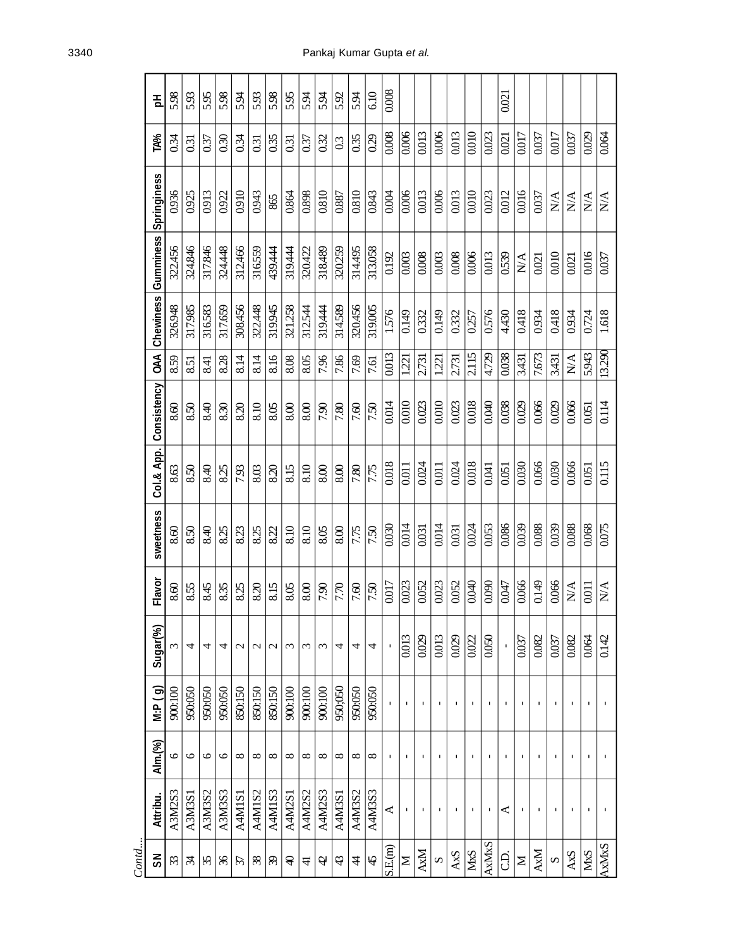| Contd                     |                          |                          |                |               |                                                    |                             |                 |                        |            |                  |                    |                     |                 |       |
|---------------------------|--------------------------|--------------------------|----------------|---------------|----------------------------------------------------|-----------------------------|-----------------|------------------------|------------|------------------|--------------------|---------------------|-----------------|-------|
| ຣັ                        | Attribu.                 | Alm.(%)                  | M:P (g)        | Sugar(%)      | Flavor                                             | sweetness                   |                 | Col.& App. Consistency | <b>BAN</b> | <b>Chewiness</b> | Gumminess          | Springiness         | <b>TA%</b>      | 공     |
| 33                        | A3M2S3                   | 6                        | 900:100        | $\epsilon$    | 8.60                                               | 8.60                        | 8.63            | 8.60                   | 8.59       | 326.948          | 322.456            | 0.936               | 0.34            | 5.98  |
| z                         | A3M3S1                   | $\circ$                  | 950:050        | 4             | 8.55                                               | 8.50                        | 8.50            | 8.50                   | 8.51       | 317.985          | 324.846            | 0.925               | $\overline{03}$ | 5.93  |
| 35                        | A3M3S2                   | $\circ$                  | 950:050        | 4             | 8.45                                               | 8.40                        | 8.40            | 8.40                   | 8.41       | 316583           | 317.846            | 0.913               | 0.37            | 5.95  |
| $\mathcal{L}$             | A3M3S3                   | $\circ$                  | 950:050        | 4             | 8.35                                               | 8.25                        | 8.25            | 830                    | 8.28       | 317.659          | 324.448            | 0.922               | 0.30            | 5.98  |
| $\mathcal{L}$             | A4M1S1                   | $\infty$                 | 850:150        | $\mathcal{L}$ | 8.25                                               | 8.23                        | 7.93            | 8.20                   | 8.14       | 308.456          | 312.466            | 0.910               | 0.34            | 5.94  |
| 38                        | A4M1S2                   | ∞                        | 850:150        | $\mathbf 2$   | 8.20                                               | 8.25                        | 8.03            | 8.10                   | 8.14       | 322.448          | 316559             | 0.943               | $\overline{03}$ | 5.93  |
| $\mathcal{E}$             | A4M1S3                   | ${}^{\circ}$             | 850:150        | $\mathcal{L}$ | 8.15                                               | 8.22                        | 8.20            | 8.05                   | 8.16       | 319945           | 439.444            | 865                 | 0.35            | 5.98  |
| ₽                         | A4M2S1                   | $^{\circ}$               | 900:100        | $\epsilon$    | 8.05                                               | 8.10                        | 8.15            | 8.00                   | 8.08       | 321.258          | 319.444            | 0.864               | 0.31            | 5.95  |
| $\pm$                     | A4M2S2                   | $\infty$                 | 900:100        | ξ             | 8.00                                               | 8.10                        | 8.10            | 8.00                   | 8.05       | 312.544          | 320,422            | 0.898               | 0.37            | 534   |
| $\overline{a}$            | A4M2S3                   | ∞                        | 900:100        | $\epsilon$    | 7.90                                               | 8.05                        | 8.00            | 7.90                   | 7.96       | 319.444          | 318.489            | 0.810               | 0.32            | 5.34  |
| 43                        | A4M3S1                   | ∞                        | 950;050        | 4             | 7.70                                               | 8.00                        | 8.00            | 7.80                   | 7.86       | 314.589          | 320259             | 0.887               | 0.3             | 5.92  |
| $\ddot{4}$                | A4M3S2                   | $\infty$                 | 950:050        | 4             | 7.60                                               | 7.75                        | 7.80            | 7.60                   | 7.69       | 320.456          | 314.495            | 0.810               | 0.35            | 5.94  |
| $\overline{4}$            | A4M3S3                   | ∞                        | 950:050        | 4             | 7.50                                               | 7.50                        | 7.75            | 7.50                   | 7.61       | 319.005          | 313.058            | 0.843               | 0.29            | 6.10  |
| SL(m)                     | $\blacktriangleleft$     | $\mathbf I$              | $\mathbf{I}$   |               | 0.017                                              | 0.030                       | 0.018           | 0.014                  | 0.013      | 1576             | 0.192              | 0.004               | 0.008           | 0.008 |
| Σ                         | $\mathbf{I}$             | $\mathbf I$              | $\mathbf{I}$   | 0.013         | 0.023                                              | 0.014                       | 0.011           | 0.010                  | 1.221      | 0.149            | 0.003              | 0.006               | 0.006           |       |
| <b>AxM</b>                | L.                       |                          | $\blacksquare$ | 0.029         | 0.052                                              | 0.031                       | 0.024           | 0.023                  | 2.731      | 0332             | 0.008              | 0.013               | 0.013           |       |
| $\boldsymbol{\mathsf{v}}$ | $\blacksquare$           | I.                       | $\blacksquare$ | 0.013         | 0.023                                              | 0.014                       | 0.011           | 0.010                  | 1221       | 0.149            | 0.003              | 0.006               | 0.006           |       |
| AxS                       | $\mathbf{I}$             | $\mathbf{I}$             | $\mathbf{I}$   | 0.029         | 0.052                                              | 0.031                       | 0.024           | 0.023                  | 2.731      | 0332             | 0.008              | 0.013               | 0.013           |       |
| <b>M<sub>xS</sub></b>     | $\overline{\phantom{a}}$ | $\overline{\phantom{a}}$ | $\blacksquare$ | 0.022         | 0.040                                              | 0.024                       | 0.018           | 0.018                  | 2.115      | 0257             | 0.006              | 0.010               | 0.010           |       |
| AxMxS                     | J.                       | $\blacksquare$           | $\blacksquare$ | 0.050         | 0.090                                              | 0.053                       | 0.041           | 0.040                  | 4.729      | 0.576            | 0.013              | 0.023               | 0.023           |       |
| G.                        | ⋖                        |                          | $\blacksquare$ |               | 0.047                                              | 0.086                       | 0.051           | 0.038                  | 0.038      | 4.430            | 0.539              | 0.012               | 0.021           | 0.021 |
| $\geq$                    | J.                       | $\mathbf{I}$             | $\mathbf{I}$   | 0.037         | 0.066                                              | 0.039                       | 0.030           | 0.029                  | 3.431      | 0.418            | N/A                | 0.016               | 0.017           |       |
| AxM                       | J.                       | $\blacksquare$           | $\blacksquare$ | 0.082         | 0.149                                              | 0.088                       | 0.066           | 0.066                  | 7.673      | 0.934            | 0.021              | 0.037               | 0.037           |       |
| S                         | J.                       | I.                       | $\blacksquare$ | 0.037         | 0.066                                              | 0.039                       | 0.030           | 0.029                  | 3.431      | 0.418            | 0.010              | $\sum_{i=1}^{n}$    | 0.017           |       |
| AxS                       | ٠                        | I.                       | J.             | 0.082         | $\mathop{\rm N}\nolimits\!\mathop{\rm A}\nolimits$ | 0.088                       | 0.066           | 0.066                  | N/A        | 0934             | 0.021              | $\sum_{\mathbf{X}}$ | 0.037           |       |
| M <sub>x</sub> S          | п.                       | 1                        | $\mathbf{I}$   | 0.064         | 0.011                                              | 0.068                       | 0.051           | 0.051                  | 5.943      | 0.724            | 0.016              | $\sum_{i=1}^{n}$    | 0.029           |       |
| AxMxS                     |                          | $\mathbf I$              | $\mathbf{I}$   | 0.142         | $\mathop{\mathsf{N}}\nolimits$                     | $\frac{52000}{\frac{1}{2}}$ | $\frac{115}{1}$ | $\overline{0.114}$     | 13.290     | 1.618            | $\overline{0.037}$ | N/A                 | 0.064           |       |

3340 Pankaj Kumar Gupta *et al.*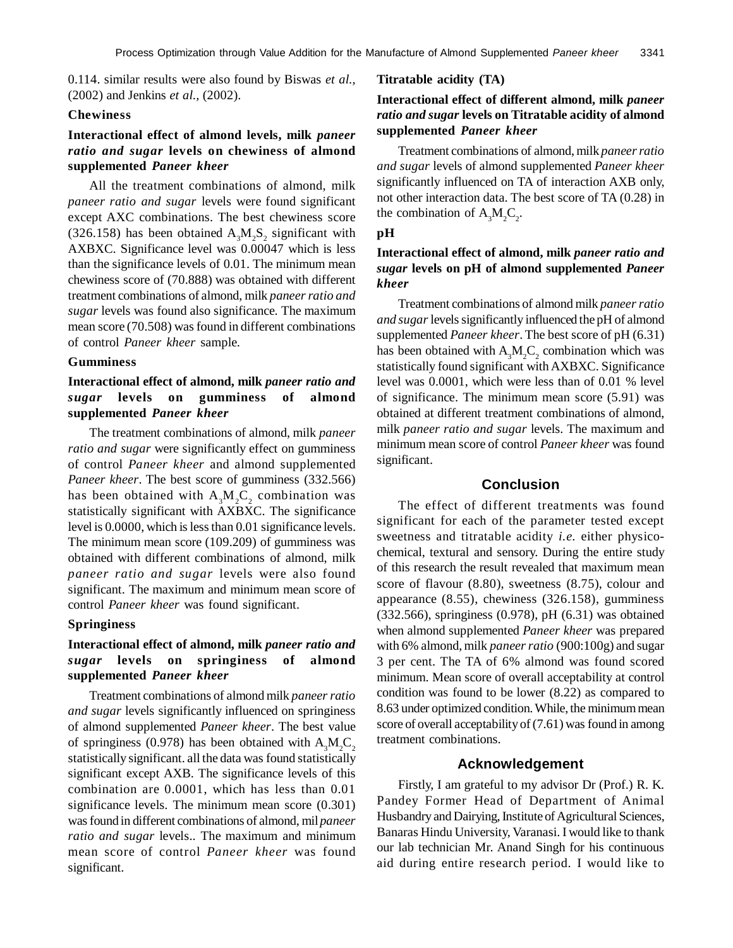0.114. similar results were also found by Biswas *et al.,* (2002) and Jenkins *et al.,* (2002).

### **Chewiness**

# **Interactional effect of almond levels, milk** *paneer ratio and sugar* **levels on chewiness of almond supplemented** *Paneer kheer*

All the treatment combinations of almond, milk *paneer ratio and sugar* levels were found significant except AXC combinations. The best chewiness score (326.158) has been obtained  $A_3M_2S_2$  significant with AXBXC. Significance level was 0.00047 which is less than the significance levels of 0.01. The minimum mean chewiness score of (70.888) was obtained with different treatment combinations of almond, milk *paneer ratio and sugar* levels was found also significance. The maximum mean score (70.508) was found in different combinations of control *Paneer kheer* sample.

#### **Gumminess**

# **Interactional effect of almond, milk** *paneer ratio and sugar* **levels on gumminess of almond supplemented** *Paneer kheer*

The treatment combinations of almond, milk *paneer ratio and sugar* were significantly effect on gumminess of control *Paneer kheer* and almond supplemented *Paneer kheer*. The best score of gumminess (332.566) has been obtained with  $A_3M_2C_2$  combination was statistically significant with AXBXC. The significance level is 0.0000, which is less than 0.01 significance levels. The minimum mean score (109.209) of gumminess was obtained with different combinations of almond, milk *paneer ratio and sugar* levels were also found significant. The maximum and minimum mean score of control *Paneer kheer* was found significant.

#### **Springiness**

# **Interactional effect of almond, milk** *paneer ratio and sugar* **levels on springiness of almond supplemented** *Paneer kheer*

Treatment combinations of almond milk *paneer ratio and sugar* levels significantly influenced on springiness of almond supplemented *Paneer kheer*. The best value of springiness (0.978) has been obtained with  $A_3M_3C_2$ statistically significant. all the data was found statistically significant except AXB. The significance levels of this combination are 0.0001, which has less than 0.01 significance levels. The minimum mean score (0.301) was found in different combinations of almond, mil *paneer ratio and sugar* levels.. The maximum and minimum mean score of control *Paneer kheer* was found significant.

### **Titratable acidity (TA)**

# **Interactional effect of different almond, milk** *paneer ratio and sugar* **levels on Titratable acidity of almond supplemented** *Paneer kheer*

Treatment combinations of almond, milk *paneer ratio and sugar* levels of almond supplemented *Paneer kheer* significantly influenced on TA of interaction AXB only, not other interaction data. The best score of TA (0.28) in the combination of  $A_3M_2C_2$ .

### **pH**

# **Interactional effect of almond, milk** *paneer ratio and sugar* **levels on pH of almond supplemented** *Paneer kheer*

Treatment combinations of almond milk *paneer ratio and sugar* levels significantly influenced the pH of almond supplemented *Paneer kheer*. The best score of pH (6.31) has been obtained with  $A_3M_2C_2$  combination which was statistically found significant with AXBXC. Significance level was 0.0001, which were less than of 0.01 % level of significance. The minimum mean score (5.91) was obtained at different treatment combinations of almond, milk *paneer ratio and sugar* levels. The maximum and minimum mean score of control *Paneer kheer* was found significant.

# **Conclusion**

The effect of different treatments was found significant for each of the parameter tested except sweetness and titratable acidity *i.e.* either physicochemical, textural and sensory. During the entire study of this research the result revealed that maximum mean score of flavour (8.80), sweetness (8.75), colour and appearance (8.55), chewiness (326.158), gumminess (332.566), springiness (0.978), pH (6.31) was obtained when almond supplemented *Paneer kheer* was prepared with 6% almond, milk *paneer ratio* (900:100g) and sugar 3 per cent. The TA of 6% almond was found scored minimum. Mean score of overall acceptability at control condition was found to be lower (8.22) as compared to 8.63 under optimized condition. While, the minimum mean score of overall acceptability of (7.61) was found in among treatment combinations.

### **Acknowledgement**

Firstly, I am grateful to my advisor Dr (Prof.) R. K. Pandey Former Head of Department of Animal Husbandry and Dairying, Institute of Agricultural Sciences, Banaras Hindu University, Varanasi. I would like to thank our lab technician Mr. Anand Singh for his continuous aid during entire research period. I would like to